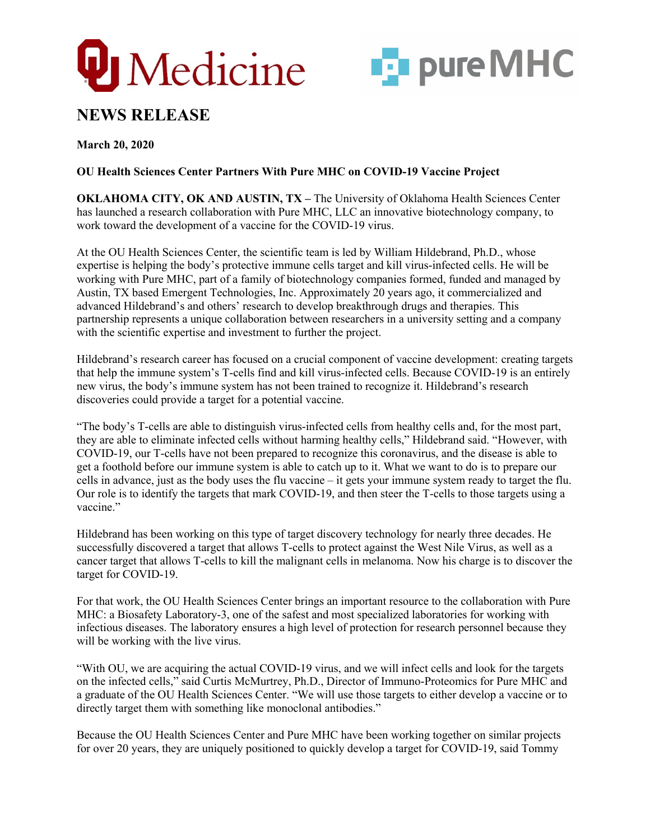



# **NEWS RELEASE**

**March 20, 2020**

## **OU Health Sciences Center Partners With Pure MHC on COVID-19 Vaccine Project**

**OKLAHOMA CITY, OK AND AUSTIN, TX –** The University of Oklahoma Health Sciences Center has launched a research collaboration with Pure MHC, LLC an innovative biotechnology company, to work toward the development of a vaccine for the COVID-19 virus.

At the OU Health Sciences Center, the scientific team is led by William Hildebrand, Ph.D., whose expertise is helping the body's protective immune cells target and kill virus-infected cells. He will be working with Pure MHC, part of a family of biotechnology companies formed, funded and managed by Austin, TX based Emergent Technologies, Inc. Approximately 20 years ago, it commercialized and advanced Hildebrand's and others' research to develop breakthrough drugs and therapies. This partnership represents a unique collaboration between researchers in a university setting and a company with the scientific expertise and investment to further the project.

Hildebrand's research career has focused on a crucial component of vaccine development: creating targets that help the immune system's T-cells find and kill virus-infected cells. Because COVID-19 is an entirely new virus, the body's immune system has not been trained to recognize it. Hildebrand's research discoveries could provide a target for a potential vaccine.

"The body's T-cells are able to distinguish virus-infected cells from healthy cells and, for the most part, they are able to eliminate infected cells without harming healthy cells," Hildebrand said. "However, with COVID-19, our T-cells have not been prepared to recognize this coronavirus, and the disease is able to get a foothold before our immune system is able to catch up to it. What we want to do is to prepare our cells in advance, just as the body uses the flu vaccine – it gets your immune system ready to target the flu. Our role is to identify the targets that mark COVID-19, and then steer the T-cells to those targets using a vaccine."

Hildebrand has been working on this type of target discovery technology for nearly three decades. He successfully discovered a target that allows T-cells to protect against the West Nile Virus, as well as a cancer target that allows T-cells to kill the malignant cells in melanoma. Now his charge is to discover the target for COVID-19.

For that work, the OU Health Sciences Center brings an important resource to the collaboration with Pure MHC: a Biosafety Laboratory-3, one of the safest and most specialized laboratories for working with infectious diseases. The laboratory ensures a high level of protection for research personnel because they will be working with the live virus.

"With OU, we are acquiring the actual COVID-19 virus, and we will infect cells and look for the targets on the infected cells," said Curtis McMurtrey, Ph.D., Director of Immuno-Proteomics for Pure MHC and a graduate of the OU Health Sciences Center. "We will use those targets to either develop a vaccine or to directly target them with something like monoclonal antibodies."

Because the OU Health Sciences Center and Pure MHC have been working together on similar projects for over 20 years, they are uniquely positioned to quickly develop a target for COVID-19, said Tommy